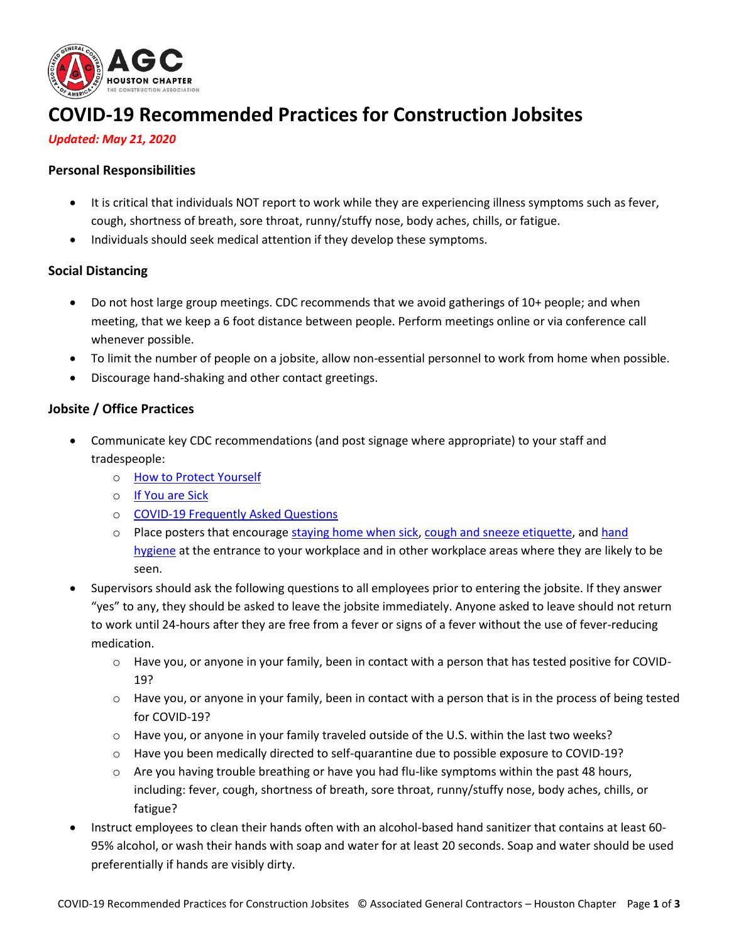

# **COVID-19 Recommended Practices for Construction Jobsites**

### *Updated: May 21, 2020*

### **Personal Responsibilities**

- It is critical that individuals NOT report to work while they are experiencing illness symptoms such as fever, cough, shortness of breath, sore throat, runny/stuffy nose, body aches, chills, or fatigue.
- Individuals should seek medical attention if they develop these symptoms.

## **Social Distancing**

- Do not host large group meetings. CDC recommends that we avoid gatherings of 10+ people; and when meeting, that we keep a 6 foot distance between people. Perform meetings online or via conference call whenever possible.
- To limit the number of people on a jobsite, allow non-essential personnel to work from home when possible.
- Discourage hand-shaking and other contact greetings.

#### **Jobsite / Office Practices**

- Communicate key CDC recommendations (and post signage where appropriate) to your staff and tradespeople:
	- o [How to Protect Yourself](https://www.cdc.gov/coronavirus/2019-ncov/prepare/prevention.html)
	- o [If You are Sick](https://www.cdc.gov/coronavirus/2019-ncov/if-you-are-sick/index.html)
	- o [COVID-19 Frequently Asked Questions](https://www.cdc.gov/coronavirus/2019-ncov/faq.html)
	- $\circ$  Place posters that encourage [staying home when sick,](https://www.cdc.gov/nonpharmaceutical-interventions/tools-resources/educational-materials.html) [cough and sneeze etiquette,](https://www.cdc.gov/healthywater/hygiene/etiquette/coughing_sneezing.html) and hand [hygiene](https://www.cdc.gov/handwashing/materials.html) at the entrance to your workplace and in other workplace areas where they are likely to be seen.
- Supervisors should ask the following questions to all employees prior to entering the jobsite. If they answer "yes" to any, they should be asked to leave the jobsite immediately. Anyone asked to leave should not return to work until 24-hours after they are free from a fever or signs of a fever without the use of fever-reducing medication.
	- o Have you, or anyone in your family, been in contact with a person that has tested positive for COVID-19?
	- o Have you, or anyone in your family, been in contact with a person that is in the process of being tested for COVID-19?
	- o Have you, or anyone in your family traveled outside of the U.S. within the last two weeks?
	- o Have you been medically directed to self-quarantine due to possible exposure to COVID-19?
	- $\circ$  Are you having trouble breathing or have you had flu-like symptoms within the past 48 hours, including: fever, cough, shortness of breath, sore throat, runny/stuffy nose, body aches, chills, or fatigue?
- Instruct employees to clean their hands often with an alcohol-based hand sanitizer that contains at least 60- 95% alcohol, or wash their hands with soap and water for at least 20 seconds. Soap and water should be used preferentially if hands are visibly dirty.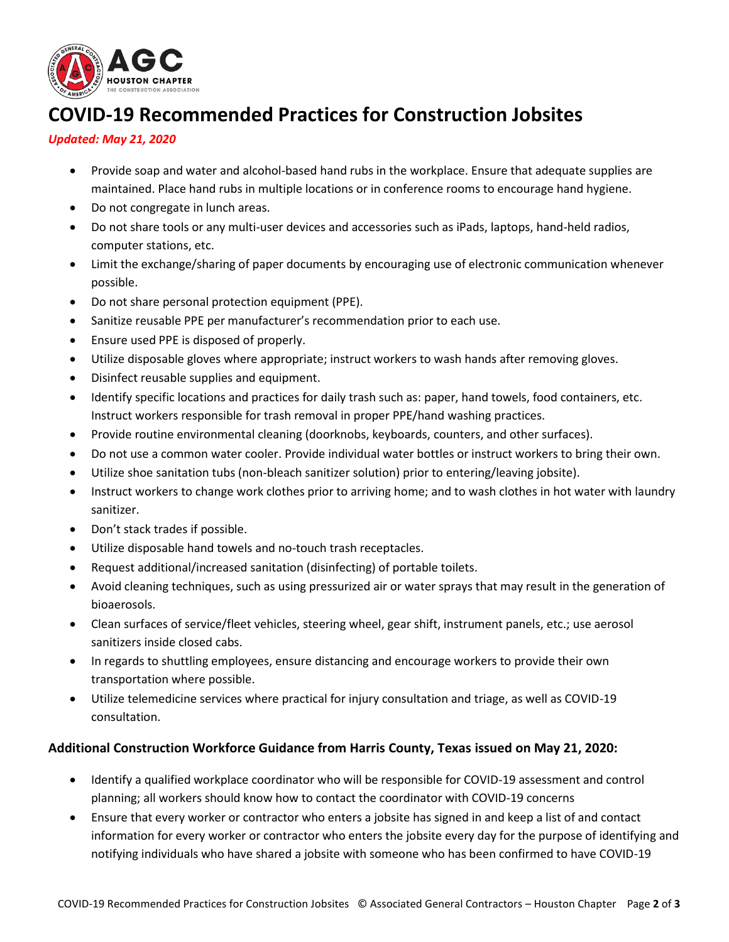

## **COVID-19 Recommended Practices for Construction Jobsites**

## *Updated: May 21, 2020*

- Provide soap and water and alcohol-based hand rubs in the workplace. Ensure that adequate supplies are maintained. Place hand rubs in multiple locations or in conference rooms to encourage hand hygiene.
- Do not congregate in lunch areas.
- Do not share tools or any multi-user devices and accessories such as iPads, laptops, hand-held radios, computer stations, etc.
- Limit the exchange/sharing of paper documents by encouraging use of electronic communication whenever possible.
- Do not share personal protection equipment (PPE).
- Sanitize reusable PPE per manufacturer's recommendation prior to each use.
- Ensure used PPE is disposed of properly.
- Utilize disposable gloves where appropriate; instruct workers to wash hands after removing gloves.
- Disinfect reusable supplies and equipment.
- Identify specific locations and practices for daily trash such as: paper, hand towels, food containers, etc. Instruct workers responsible for trash removal in proper PPE/hand washing practices.
- Provide routine environmental cleaning (doorknobs, keyboards, counters, and other surfaces).
- Do not use a common water cooler. Provide individual water bottles or instruct workers to bring their own.
- Utilize shoe sanitation tubs (non-bleach sanitizer solution) prior to entering/leaving jobsite).
- Instruct workers to change work clothes prior to arriving home; and to wash clothes in hot water with laundry sanitizer.
- Don't stack trades if possible.
- Utilize disposable hand towels and no-touch trash receptacles.
- Request additional/increased sanitation (disinfecting) of portable toilets.
- Avoid cleaning techniques, such as using pressurized air or water sprays that may result in the generation of bioaerosols.
- Clean surfaces of service/fleet vehicles, steering wheel, gear shift, instrument panels, etc.; use aerosol sanitizers inside closed cabs.
- In regards to shuttling employees, ensure distancing and encourage workers to provide their own transportation where possible.
- Utilize telemedicine services where practical for injury consultation and triage, as well as COVID-19 consultation.

## **Additional Construction Workforce Guidance from Harris County, Texas issued on May 21, 2020:**

- Identify a qualified workplace coordinator who will be responsible for COVID-19 assessment and control planning; all workers should know how to contact the coordinator with COVID-19 concerns
- Ensure that every worker or contractor who enters a jobsite has signed in and keep a list of and contact information for every worker or contractor who enters the jobsite every day for the purpose of identifying and notifying individuals who have shared a jobsite with someone who has been confirmed to have COVID-19